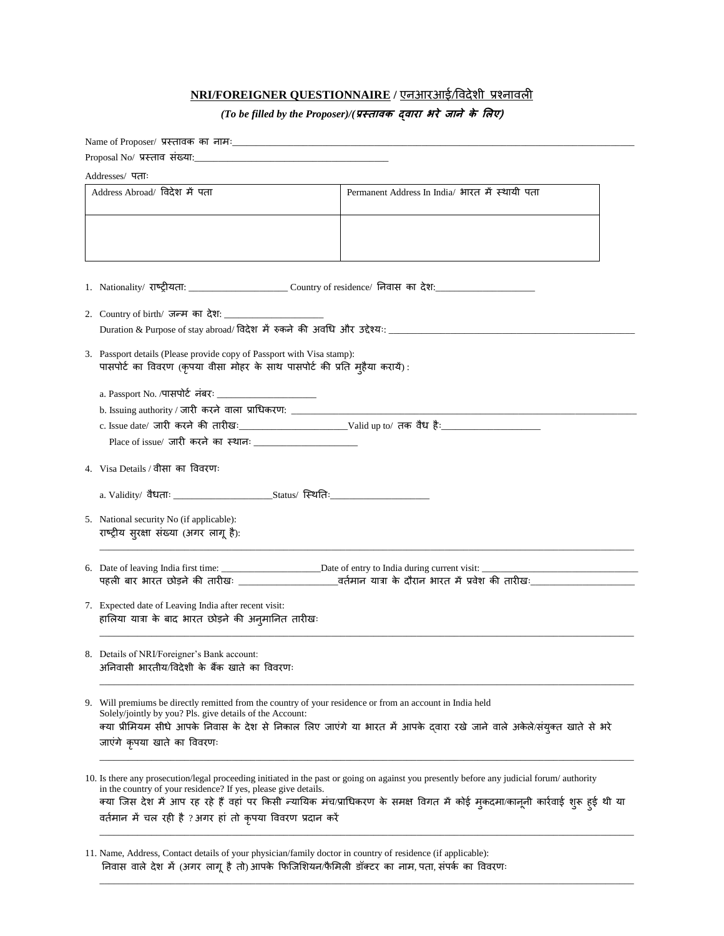## **NRI/FOREIGNER QUESTIONNAIRE /** एनआरआई**/**विदेशी प्रश्नािली

## *(To be filled by the Proposer)/(***प्रस्तावक द्वारा भरे जानेके लिए)**

| Addresses/पताः                                                                                                                                                                                       |                                                                                                                                                                                                                                                                             |
|------------------------------------------------------------------------------------------------------------------------------------------------------------------------------------------------------|-----------------------------------------------------------------------------------------------------------------------------------------------------------------------------------------------------------------------------------------------------------------------------|
|                                                                                                                                                                                                      |                                                                                                                                                                                                                                                                             |
| Address Abroad/ विदेश में पता                                                                                                                                                                        | Permanent Address In India/ भारत में स्थायी पता                                                                                                                                                                                                                             |
|                                                                                                                                                                                                      |                                                                                                                                                                                                                                                                             |
|                                                                                                                                                                                                      |                                                                                                                                                                                                                                                                             |
| 2. Country of birth/ जन्म का देश: ____________                                                                                                                                                       |                                                                                                                                                                                                                                                                             |
|                                                                                                                                                                                                      | Duration & Purpose of stay abroad/ विदेश में रुकने की अवधि और उद्देश्यः ____________________________                                                                                                                                                                        |
| 3. Passport details (Please provide copy of Passport with Visa stamp):<br>पासपोर्ट का विवरण (कृपया वीसा मोहर के साथ पासपोर्ट की प्रति मुहैया करायें):                                                |                                                                                                                                                                                                                                                                             |
|                                                                                                                                                                                                      |                                                                                                                                                                                                                                                                             |
| b. Issuing authority / जारी करने वाला प्राधिकरण: _______________________________                                                                                                                     |                                                                                                                                                                                                                                                                             |
|                                                                                                                                                                                                      |                                                                                                                                                                                                                                                                             |
| 4. Visa Details / वीसा का विवरणः                                                                                                                                                                     |                                                                                                                                                                                                                                                                             |
|                                                                                                                                                                                                      |                                                                                                                                                                                                                                                                             |
| 5. National security No (if applicable):<br>राष्ट्रीय सुरक्षा संख्या (अगर लागू है):                                                                                                                  |                                                                                                                                                                                                                                                                             |
|                                                                                                                                                                                                      |                                                                                                                                                                                                                                                                             |
|                                                                                                                                                                                                      |                                                                                                                                                                                                                                                                             |
| हालिया यात्रा के बाद भारत छोड़ने की अनुमानित तारीखः                                                                                                                                                  |                                                                                                                                                                                                                                                                             |
| 8. Details of NRI/Foreigner's Bank account:<br>अनिवासी भारतीय/विदेशी के बैंक खाते का विवरणः                                                                                                          |                                                                                                                                                                                                                                                                             |
| 9. Will premiums be directly remitted from the country of your residence or from an account in India held<br>Solely/jointly by you? Pls. give details of the Account:<br>जाएंगे कृपया खाते का विवरणः | क्या प्रीमियम सीधे आपके निवास के देश से निकाल लिए जाएंगे या भारत में आपके दवारा रखे जाने वाले अकेले/संयुक्त खाते से भरे                                                                                                                                                     |
| in the country of your residence? If yes, please give details.<br>वर्तमान में चल रही है ? अगर हां तो कृपया विवरण प्रदान करें                                                                         | 10. Is there any prosecution/legal proceeding initiated in the past or going on against you presently before any judicial forum/ authority<br>क्या जिस देश में आप रह रहे हैं वहां पर किसी न्यायिक मंच/प्राधिकरण के समक्ष विगत में कोई मुकदमा/कानूनी कार्रवाई शुरू हुई थी या |
|                                                                                                                                                                                                      | 7. Expected date of Leaving India after recent visit:                                                                                                                                                                                                                       |

\_\_\_\_\_\_\_\_\_\_\_\_\_\_\_\_\_\_\_\_\_\_\_\_\_\_\_\_\_\_\_\_\_\_\_\_\_\_\_\_\_\_\_\_\_\_\_\_\_\_\_\_\_\_\_\_\_\_\_\_\_\_\_\_\_\_\_\_\_\_\_\_\_\_\_\_\_\_\_\_\_\_\_\_\_\_\_\_\_\_\_\_\_\_\_\_\_\_\_\_\_\_\_\_\_\_\_\_\_\_\_\_\_